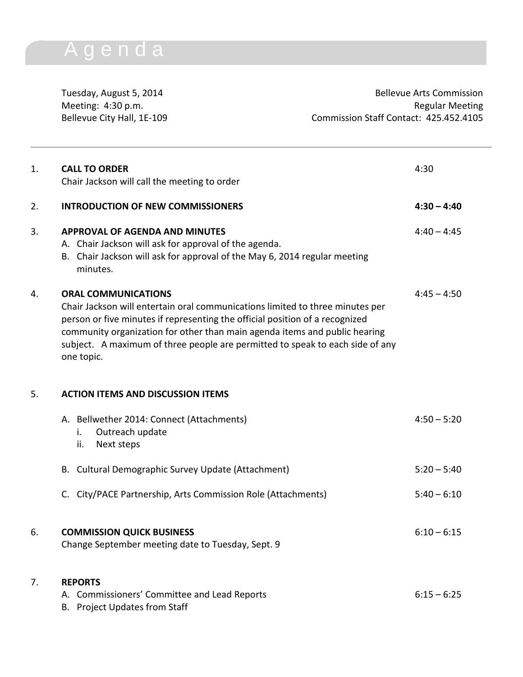## A g e n d a

Tuesday, August 5, 2014 **Bellevue Arts Commission** Meeting: 4:30 p.m.<br>Bellevue City Hall, 1E-109 ellevue City Hall, 1E-109 Commission Staff Contact: 425.452.4105

| 1. | <b>CALL TO ORDER</b><br>Chair Jackson will call the meeting to order                                                                                                                                                                                                                                                                                                     | 4:30          |
|----|--------------------------------------------------------------------------------------------------------------------------------------------------------------------------------------------------------------------------------------------------------------------------------------------------------------------------------------------------------------------------|---------------|
| 2. | <b>INTRODUCTION OF NEW COMMISSIONERS</b>                                                                                                                                                                                                                                                                                                                                 | $4:30 - 4:40$ |
| 3. | <b>APPROVAL OF AGENDA AND MINUTES</b><br>A. Chair Jackson will ask for approval of the agenda.<br>Chair Jackson will ask for approval of the May 6, 2014 regular meeting<br>В.<br>minutes.                                                                                                                                                                               | $4:40 - 4:45$ |
| 4. | <b>ORAL COMMUNICATIONS</b><br>Chair Jackson will entertain oral communications limited to three minutes per<br>person or five minutes if representing the official position of a recognized<br>community organization for other than main agenda items and public hearing<br>subject. A maximum of three people are permitted to speak to each side of any<br>one topic. | $4:45 - 4:50$ |
| 5. | <b>ACTION ITEMS AND DISCUSSION ITEMS</b>                                                                                                                                                                                                                                                                                                                                 |               |
|    | A. Bellwether 2014: Connect (Attachments)<br>Outreach update<br>i.<br>Next steps<br>ii.                                                                                                                                                                                                                                                                                  | $4:50 - 5:20$ |
|    | B. Cultural Demographic Survey Update (Attachment)                                                                                                                                                                                                                                                                                                                       | $5:20 - 5:40$ |
|    | C. City/PACE Partnership, Arts Commission Role (Attachments)                                                                                                                                                                                                                                                                                                             | $5:40 - 6:10$ |
| 6. | <b>COMMISSION QUICK BUSINESS</b><br>Change September meeting date to Tuesday, Sept. 9                                                                                                                                                                                                                                                                                    | $6:10 - 6:15$ |
| 7. | <b>REPORTS</b><br>A. Commissioners' Committee and Lead Reports<br>B. Project Updates from Staff                                                                                                                                                                                                                                                                          | $6:15 - 6:25$ |